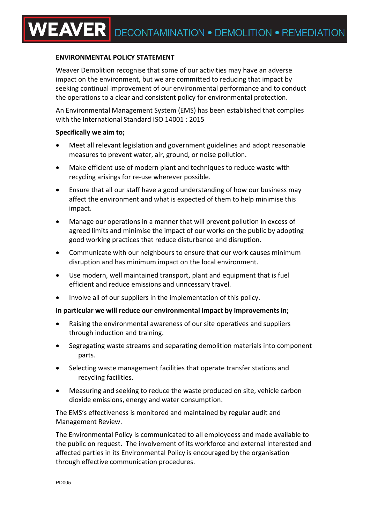## **ENVIRONMENTAL POLICY STATEMENT**

Weaver Demolition recognise that some of our activities may have an adverse impact on the environment, but we are committed to reducing that impact by seeking continual improvement of our environmental performance and to conduct the operations to a clear and consistent policy for environmental protection.

An Environmental Management System (EMS) has been established that complies with the International Standard ISO 14001 : 2015

## **Specifically we aim to;**

- Meet all relevant legislation and government guidelines and adopt reasonable measures to prevent water, air, ground, or noise pollution.
- Make efficient use of modern plant and techniques to reduce waste with recycling arisings for re-use wherever possible.
- Ensure that all our staff have a good understanding of how our business may affect the environment and what is expected of them to help minimise this impact.
- Manage our operations in a manner that will prevent pollution in excess of agreed limits and minimise the impact of our works on the public by adopting good working practices that reduce disturbance and disruption.
- Communicate with our neighbours to ensure that our work causes minimum disruption and has minimum impact on the local environment.
- Use modern, well maintained transport, plant and equipment that is fuel efficient and reduce emissions and unncessary travel.
- Involve all of our suppliers in the implementation of this policy.

## **In particular we will reduce our environmental impact by improvements in;**

- Raising the environmental awareness of our site operatives and suppliers through induction and training.
- Segregating waste streams and separating demolition materials into component parts.
- Selecting waste management facilities that operate transfer stations and recycling facilities.
- Measuring and seeking to reduce the waste produced on site, vehicle carbon dioxide emissions, energy and water consumption.

The EMS's effectiveness is monitored and maintained by regular audit and Management Review.

The Environmental Policy is communicated to all employeess and made available to the public on request. The involvement of its workforce and external interested and affected parties in its Environmental Policy is encouraged by the organisation through effective communication procedures.